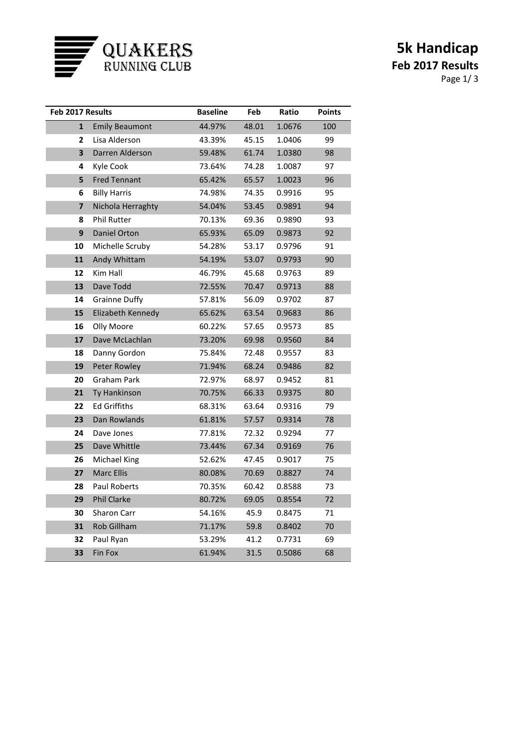

## **5k Handicap Feb 2017 Results** Page 1/ 3

| Feb 2017 Results |                       | <b>Baseline</b> | Feb   | Ratio  | <b>Points</b> |
|------------------|-----------------------|-----------------|-------|--------|---------------|
| $\mathbf{1}$     | <b>Emily Beaumont</b> | 44.97%          | 48.01 | 1.0676 | 100           |
| 2                | Lisa Alderson         | 43.39%          | 45.15 | 1.0406 | 99            |
| 3                | Darren Alderson       | 59.48%          | 61.74 | 1.0380 | 98            |
| 4                | Kyle Cook             | 73.64%          | 74.28 | 1.0087 | 97            |
| 5                | <b>Fred Tennant</b>   | 65.42%          | 65.57 | 1.0023 | 96            |
| 6                | <b>Billy Harris</b>   | 74.98%          | 74.35 | 0.9916 | 95            |
| 7                | Nichola Herraghty     | 54.04%          | 53.45 | 0.9891 | 94            |
| 8                | <b>Phil Rutter</b>    | 70.13%          | 69.36 | 0.9890 | 93            |
| 9                | Daniel Orton          | 65.93%          | 65.09 | 0.9873 | 92            |
| 10               | Michelle Scruby       | 54.28%          | 53.17 | 0.9796 | 91            |
| 11               | Andy Whittam          | 54.19%          | 53.07 | 0.9793 | 90            |
| 12               | Kim Hall              | 46.79%          | 45.68 | 0.9763 | 89            |
| 13               | Dave Todd             | 72.55%          | 70.47 | 0.9713 | 88            |
| 14               | <b>Grainne Duffy</b>  | 57.81%          | 56.09 | 0.9702 | 87            |
| 15               | Elizabeth Kennedy     | 65.62%          | 63.54 | 0.9683 | 86            |
| 16               | Olly Moore            | 60.22%          | 57.65 | 0.9573 | 85            |
| 17               | Dave McLachlan        | 73.20%          | 69.98 | 0.9560 | 84            |
| 18               | Danny Gordon          | 75.84%          | 72.48 | 0.9557 | 83            |
| 19               | Peter Rowley          | 71.94%          | 68.24 | 0.9486 | 82            |
| 20               | <b>Graham Park</b>    | 72.97%          | 68.97 | 0.9452 | 81            |
| 21               | <b>Ty Hankinson</b>   | 70.75%          | 66.33 | 0.9375 | 80            |
| 22               | <b>Ed Griffiths</b>   | 68.31%          | 63.64 | 0.9316 | 79            |
| 23               | Dan Rowlands          | 61.81%          | 57.57 | 0.9314 | 78            |
| 24               | Dave Jones            | 77.81%          | 72.32 | 0.9294 | 77            |
| 25               | Dave Whittle          | 73.44%          | 67.34 | 0.9169 | 76            |
| 26               | Michael King          | 52.62%          | 47.45 | 0.9017 | 75            |
| 27               | <b>Marc Ellis</b>     | 80.08%          | 70.69 | 0.8827 | 74            |
| 28               | <b>Paul Roberts</b>   | 70.35%          | 60.42 | 0.8588 | 73            |
| 29               | <b>Phil Clarke</b>    | 80.72%          | 69.05 | 0.8554 | 72            |
| 30               | <b>Sharon Carr</b>    | 54.16%          | 45.9  | 0.8475 | 71            |
| 31               | Rob Gillham           | 71.17%          | 59.8  | 0.8402 | 70            |
| 32               | Paul Ryan             | 53.29%          | 41.2  | 0.7731 | 69            |
| 33               | Fin Fox               | 61.94%          | 31.5  | 0.5086 | 68            |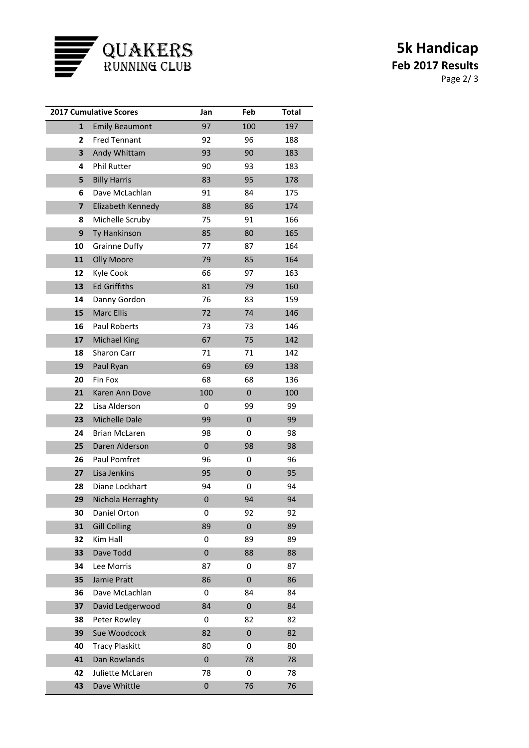

## **5k Handicap Feb 2017 Results** Page 2/ 3

| <b>2017 Cumulative Scores</b> |                       | Jan       | Feb       | <b>Total</b> |
|-------------------------------|-----------------------|-----------|-----------|--------------|
| $\mathbf{1}$                  | <b>Emily Beaumont</b> | 97        | 100       | 197          |
| 2                             | <b>Fred Tennant</b>   | 92        | 96        | 188          |
| 3                             | Andy Whittam          | 93        | 90        | 183          |
| 4                             | Phil Rutter           | 90        | 93        | 183          |
| 5                             | <b>Billy Harris</b>   | 83        | 95        | 178          |
| 6                             | Dave McLachlan        | 91        | 84        | 175          |
| 7                             | Elizabeth Kennedy     | 88        | 86        | 174          |
| 8                             | Michelle Scruby       | 75        | 91        | 166          |
| 9                             | Ty Hankinson          | 85        | 80        | 165          |
| 10                            | <b>Grainne Duffy</b>  | 77        | 87        | 164          |
| 11                            | <b>Olly Moore</b>     | 79        | 85        | 164          |
| 12                            | Kyle Cook             | 66        | 97        | 163          |
| 13                            | <b>Ed Griffiths</b>   | 81        | 79        | 160          |
| 14                            | Danny Gordon          | 76        | 83        | 159          |
| 15                            | <b>Marc Ellis</b>     | 72        | 74        | 146          |
| 16                            | Paul Roberts          | 73        | 73        | 146          |
| 17                            | <b>Michael King</b>   | 67        | 75        | 142          |
| 18                            | Sharon Carr           | 71        | 71        | 142          |
| 19                            | Paul Ryan             | 69        | 69        | 138          |
| 20                            | Fin Fox               | 68        | 68        | 136          |
| 21                            | Karen Ann Dove        | 100       | $\pmb{0}$ | 100          |
| 22                            | Lisa Alderson         | 0         | 99        | 99           |
| 23                            | <b>Michelle Dale</b>  | 99        | $\pmb{0}$ | 99           |
| 24                            | <b>Brian McLaren</b>  | 98        | 0         | 98           |
| 25                            | Daren Alderson        | $\pmb{0}$ | 98        | 98           |
| 26                            | Paul Pomfret          | 96        | 0         | 96           |
| 27                            | Lisa Jenkins          | 95        | $\pmb{0}$ | 95           |
| 28                            | Diane Lockhart        | 94        | 0         | 94           |
| 29                            | Nichola Herraghty     | 0         | 94        | 94           |
| 30                            | Daniel Orton          | 0         | 92        | 92           |
| 31                            | <b>Gill Colling</b>   | 89        | $\pmb{0}$ | 89           |
| 32                            | Kim Hall              | 0         | 89        | 89           |
| 33                            | Dave Todd             | 0         | 88        | 88           |
| 34                            | Lee Morris            | 87        | 0         | 87           |
| 35                            | Jamie Pratt           | 86        | $\pmb{0}$ | 86           |
| 36                            | Dave McLachlan        | 0         | 84        | 84           |
| 37                            | David Ledgerwood      | 84        | 0         | 84           |
| 38                            | Peter Rowley          | 0         | 82        | 82           |
| 39                            | Sue Woodcock          | 82        | $\pmb{0}$ | 82           |
| 40                            | <b>Tracy Plaskitt</b> | 80        | 0         | 80           |
| 41                            | Dan Rowlands          | 0         | 78        | 78           |
| 42                            | Juliette McLaren      | 78        | 0         | 78           |
| 43                            | Dave Whittle          | 0         | 76        | 76           |